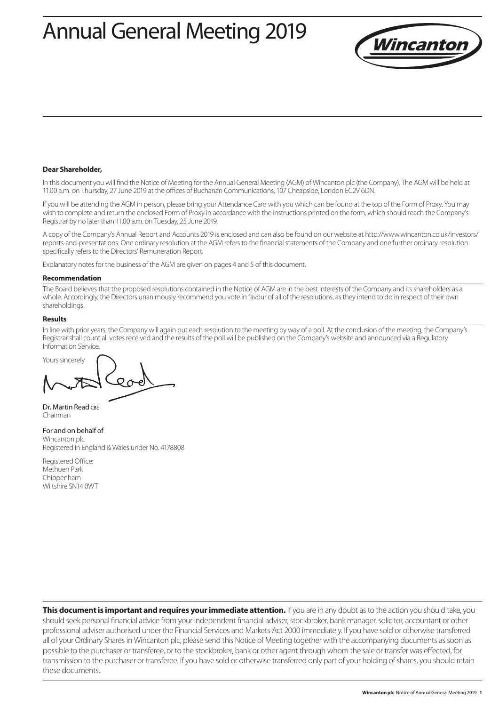# Annual General Meeting 2019



#### **Dear Shareholder,**

In this document you will find the Notice of Meeting for the Annual General Meeting (AGM) of Wincanton plc (the Company). The AGM will be held at 11.00 a.m. on Thursday, 27 June 2019 at the offices of Buchanan Communications, 107 Cheapside, London EC2V 6DN.

If you will be attending the AGM in person, please bring your Attendance Card with you which can be found at the top of the Form of Proxy. You may wish to complete and return the enclosed Form of Proxy in accordance with the instructions printed on the form, which should reach the Company's Registrar by no later than 11.00 a.m. on Tuesday, 25 June 2019.

A copy of the Company's Annual Report and Accounts 2019 is enclosed and can also be found on our website at http://www.wincanton.co.uk/investors/ reports-and-presentations. One ordinary resolution at the AGM refers to the financial statements of the Company and one further ordinary resolution specifically refers to the Directors' Remuneration Report.

Explanatory notes for the business of the AGM are given on pages 4 and 5 of this document.

#### **Recommendation**

The Board believes that the proposed resolutions contained in the Notice of AGM are in the best interests of the Company and its shareholders as a whole. Accordingly, the Directors unanimously recommend you vote in favour of all of the resolutions, as they intend to do in respect of their own shareholdings.

#### **Results**

In line with prior years, the Company will again put each resolution to the meeting by way of a poll. At the conclusion of the meeting, the Company's Registrar shall count all votes received and the results of the poll will be published on the Company's website and announced via a Regulatory Information Service.

Yours sincerely

Dr. Martin Read CBE Chairman

For and on behalf of Wincanton plc Registered in England & Wales under No. 4178808

Registered Office: Methuen Park Chippenham Wiltshire SN14 0WT

**This document is important and requires your immediate attention.** If you are in any doubt as to the action you should take, you should seek personal financial advice from your independent financial adviser, stockbroker, bank manager, solicitor, accountant or other professional adviser authorised under the Financial Services and Markets Act 2000 immediately. If you have sold or otherwise transferred all of your Ordinary Shares in Wincanton plc, please send this Notice of Meeting together with the accompanying documents as soon as possible to the purchaser or transferee, or to the stockbroker, bank or other agent through whom the sale or transfer was effected, for transmission to the purchaser or transferee. If you have sold or otherwise transferred only part of your holding of shares, you should retain these documents..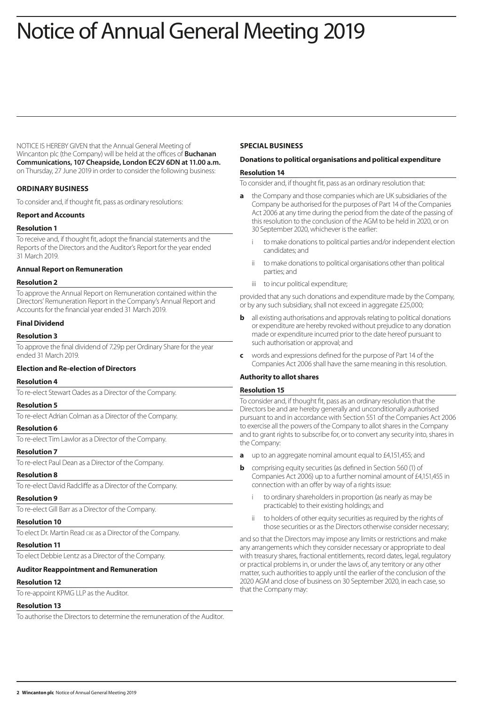# Notice of Annual General Meeting 2019

NOTICE IS HEREBY GIVEN that the Annual General Meeting of Wincanton plc (the Company) will be held at the offices of **Buchanan Communications, 107 Cheapside, London EC2V 6DN at 11.00 a.m.** on Thursday, 27 June 2019 in order to consider the following business:

## **ORDINARY BUSINESS**

To consider and, if thought fit, pass as ordinary resolutions:

#### **Report and Accounts**

#### **Resolution 1**

To receive and, if thought fit, adopt the financial statements and the Reports of the Directors and the Auditor's Report for the year ended 31 March 2019.

#### **Annual Report on Remuneration**

#### **Resolution 2**

To approve the Annual Report on Remuneration contained within the Directors' Remuneration Report in the Company's Annual Report and Accounts for the financial year ended 31 March 2019.

#### **Final Dividend**

#### **Resolution 3**

To approve the final dividend of 7.29p per Ordinary Share for the year ended 31 March 2019.

#### **Election and Re-election of Directors**

#### **Resolution 4**

To re-elect Stewart Oades as a Director of the Company.

### **Resolution 5**

To re-elect Adrian Colman as a Director of the Company.

#### **Resolution 6**

To re-elect Tim Lawlor as a Director of the Company.

## **Resolution 7**

To re-elect Paul Dean as a Director of the Company.

#### **Resolution 8**

To re-elect David Radcliffe as a Director of the Company.

#### **Resolution 9**

To re-elect Gill Barr as a Director of the Company.

## **Resolution 10**

To elect Dr. Martin Read CBE as a Director of the Company.

## **Resolution 11**

To elect Debbie Lentz as a Director of the Company.

## **Auditor Reappointment and Remuneration**

## **Resolution 12**

To re-appoint KPMG LLP as the Auditor.

## **Resolution 13**

To authorise the Directors to determine the remuneration of the Auditor.

## **SPECIAL BUSINESS**

## **Donations to political organisations and political expenditure**

## **Resolution 14**

To consider and, if thought fit, pass as an ordinary resolution that:

- **a** the Company and those companies which are UK subsidiaries of the Company be authorised for the purposes of Part 14 of the Companies Act 2006 at any time during the period from the date of the passing of this resolution to the conclusion of the AGM to be held in 2020, or on 30 September 2020, whichever is the earlier:
	- to make donations to political parties and/or independent election candidates; and
	- ii to make donations to political organisations other than political parties; and
	- iii to incur political expenditure;

provided that any such donations and expenditure made by the Company, or by any such subsidiary, shall not exceed in aggregate £25,000;

- **b** all existing authorisations and approvals relating to political donations or expenditure are hereby revoked without prejudice to any donation made or expenditure incurred prior to the date hereof pursuant to such authorisation or approval; and
- **c** words and expressions defined for the purpose of Part 14 of the Companies Act 2006 shall have the same meaning in this resolution.

#### **Authority to allot shares**

#### **Resolution 15**

To consider and, if thought fit, pass as an ordinary resolution that the Directors be and are hereby generally and unconditionally authorised pursuant to and in accordance with Section 551 of the Companies Act 2006 to exercise all the powers of the Company to allot shares in the Company and to grant rights to subscribe for, or to convert any security into, shares in the Company:

- **a** up to an aggregate nominal amount equal to £4,151,455; and
- **b** comprising equity securities (as defined in Section 560 (1) of Companies Act 2006) up to a further nominal amount of £4,151,455 in connection with an offer by way of a rights issue:
	- to ordinary shareholders in proportion (as nearly as may be practicable) to their existing holdings; and
	- ii to holders of other equity securities as required by the rights of those securities or as the Directors otherwise consider necessary;

and so that the Directors may impose any limits or restrictions and make any arrangements which they consider necessary or appropriate to deal with treasury shares, fractional entitlements, record dates, legal, regulatory or practical problems in, or under the laws of, any territory or any other matter, such authorities to apply until the earlier of the conclusion of the 2020 AGM and close of business on 30 September 2020, in each case, so that the Company may: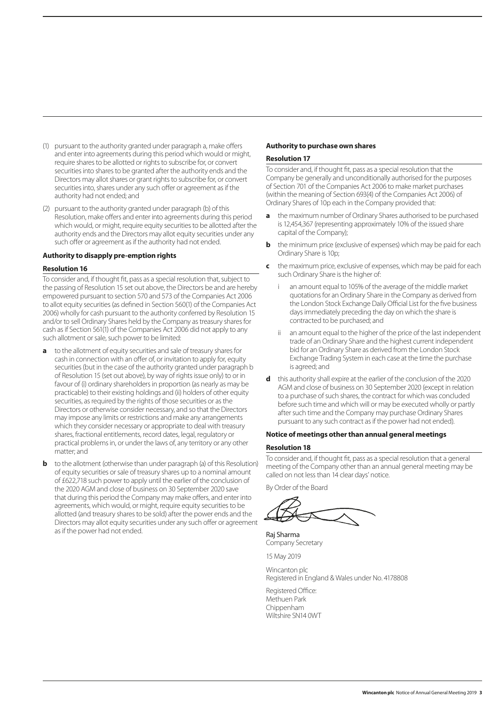- (1) pursuant to the authority granted under paragraph a, make offers and enter into agreements during this period which would or might, require shares to be allotted or rights to subscribe for, or convert securities into shares to be granted after the authority ends and the Directors may allot shares or grant rights to subscribe for, or convert securities into, shares under any such offer or agreement as if the authority had not ended; and
- (2) pursuant to the authority granted under paragraph (b) of this Resolution, make offers and enter into agreements during this period which would, or might, require equity securities to be allotted after the authority ends and the Directors may allot equity securities under any such offer or agreement as if the authority had not ended.

#### **Authority to disapply pre-emption rights**

#### **Resolution 16**

To consider and, if thought fit, pass as a special resolution that, subject to the passing of Resolution 15 set out above, the Directors be and are hereby empowered pursuant to section 570 and 573 of the Companies Act 2006 to allot equity securities (as defined in Section 560(1) of the Companies Act 2006) wholly for cash pursuant to the authority conferred by Resolution 15 and/or to sell Ordinary Shares held by the Company as treasury shares for cash as if Section 561(1) of the Companies Act 2006 did not apply to any such allotment or sale, such power to be limited:

- **a** to the allotment of equity securities and sale of treasury shares for cash in connection with an offer of, or invitation to apply for, equity securities (but in the case of the authority granted under paragraph b of Resolution 15 (set out above), by way of rights issue only) to or in favour of (i) ordinary shareholders in proportion (as nearly as may be practicable) to their existing holdings and (ii) holders of other equity securities, as required by the rights of those securities or as the Directors or otherwise consider necessary, and so that the Directors may impose any limits or restrictions and make any arrangements which they consider necessary or appropriate to deal with treasury shares, fractional entitlements, record dates, legal, regulatory or practical problems in, or under the laws of, any territory or any other matter; and
- **b** to the allotment (otherwise than under paragraph (a) of this Resolution) of equity securities or sale of treasury shares up to a nominal amount of £622,718 such power to apply until the earlier of the conclusion of the 2020 AGM and close of business on 30 September 2020 save that during this period the Company may make offers, and enter into agreements, which would, or might, require equity securities to be allotted (and treasury shares to be sold) after the power ends and the Directors may allot equity securities under any such offer or agreement as if the power had not ended.

### **Authority to purchase own shares**

#### **Resolution 17**

To consider and, if thought fit, pass as a special resolution that the Company be generally and unconditionally authorised for the purposes of Section 701 of the Companies Act 2006 to make market purchases (within the meaning of Section 693(4) of the Companies Act 2006) of Ordinary Shares of 10p each in the Company provided that:

- **a** the maximum number of Ordinary Shares authorised to be purchased is 12,454,367 (representing approximately 10% of the issued share capital of the Company);
- **b** the minimum price (exclusive of expenses) which may be paid for each Ordinary Share is 10p;
- **c** the maximum price, exclusive of expenses, which may be paid for each such Ordinary Share is the higher of:
	- an amount equal to 105% of the average of the middle market quotations for an Ordinary Share in the Company as derived from the London Stock Exchange Daily Official List for the five business days immediately preceding the day on which the share is contracted to be purchased; and
	- an amount equal to the higher of the price of the last independent trade of an Ordinary Share and the highest current independent bid for an Ordinary Share as derived from the London Stock Exchange Trading System in each case at the time the purchase is agreed; and
- **d** this authority shall expire at the earlier of the conclusion of the 2020 AGM and close of business on 30 September 2020 (except in relation to a purchase of such shares, the contract for which was concluded before such time and which will or may be executed wholly or partly after such time and the Company may purchase Ordinary Shares pursuant to any such contract as if the power had not ended).

#### **Notice of meetings other than annual general meetings**

#### **Resolution 18**

To consider and, if thought fit, pass as a special resolution that a general meeting of the Company other than an annual general meeting may be called on not less than 14 clear days' notice.

By Order of the Board

Raj Sharma Company Secretary

15 May 2019 Wincanton plc

Registered in England & Wales under No. 4178808

Registered Office: Methuen Park Chippenham Wiltshire SN14 0WT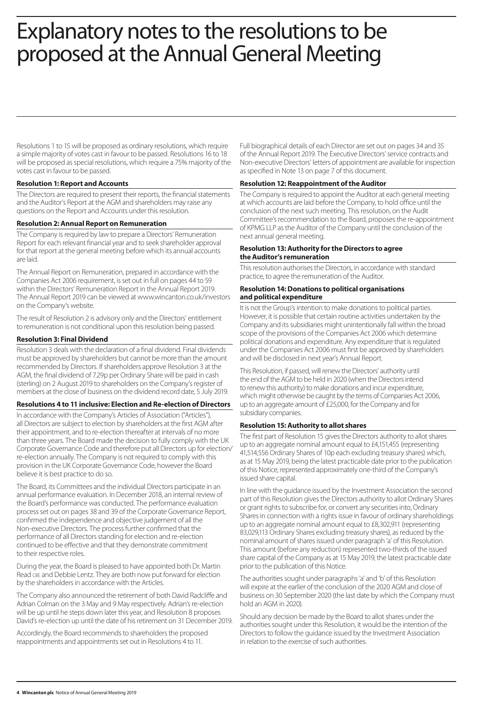## Explanatory notes to the resolutions to be proposed at the Annual General Meeting

Resolutions 1 to 15 will be proposed as ordinary resolutions, which require a simple majority of votes cast in favour to be passed. Resolutions 16 to 18 will be proposed as special resolutions, which require a 75% majority of the votes cast in favour to be passed.

## **Resolution 1: Report and Accounts**

The Directors are required to present their reports, the financial statements and the Auditor's Report at the AGM and shareholders may raise any questions on the Report and Accounts under this resolution.

## **Resolution 2: Annual Report on Remuneration**

The Company is required by law to prepare a Directors' Remuneration Report for each relevant financial year and to seek shareholder approval for that report at the general meeting before which its annual accounts are laid.

The Annual Report on Remuneration, prepared in accordance with the Companies Act 2006 requirement, is set out in full on pages 44 to 59 within the Directors' Remuneration Report in the Annual Report 2019. The Annual Report 2019 can be viewed at www.wincanton.co.uk/investors on the Company's website.

The result of Resolution 2 is advisory only and the Directors' entitlement to remuneration is not conditional upon this resolution being passed.

## **Resolution 3: Final Dividend**

Resolution 3 deals with the declaration of a final dividend. Final dividends must be approved by shareholders but cannot be more than the amount recommended by Directors. If shareholders approve Resolution 3 at the AGM, the final dividend of 7.29p per Ordinary Share will be paid in cash (sterling) on 2 August 2019 to shareholders on the Company's register of members at the close of business on the dividend record date, 5 July 2019.

#### **Resolutions 4 to 11 inclusive: Election and Re-election of Directors**

In accordance with the Company's Articles of Association ("Articles"), all Directors are subject to election by shareholders at the first AGM after their appointment, and to re-election thereafter at intervals of no more than three years. The Board made the decision to fully comply with the UK Corporate Governance Code and therefore put all Directors up for election/ re-election annually. The Company is not required to comply with this provision in the UK Corporate Governance Code, however the Board believe it is best practice to do so.

The Board, its Committees and the individual Directors participate in an annual performance evaluation. In December 2018, an internal review of the Board's performance was conducted. The performance evaluation process set out on pages 38 and 39 of the Corporate Governance Report, confirmed the independence and objective judgement of all the Non-executive Directors. The process further confirmed that the performance of all Directors standing for election and re-election continued to be effective and that they demonstrate commitment to their respective roles.

During the year, the Board is pleased to have appointed both Dr. Martin Read CBE and Debbie Lentz. They are both now put forward for election by the shareholders in accordance with the Articles.

The Company also announced the retirement of both David Radcliffe and Adrian Colman on the 3 May and 9 May respectively. Adrian's re-election will be up until he steps down later this year, and Resolution 8 proposes David's re-election up until the date of his retirement on 31 December 2019.

Accordingly, the Board recommends to shareholders the proposed reappointments and appointments set out in Resolutions 4 to 11.

Full biographical details of each Director are set out on pages 34 and 35 of the Annual Report 2019. The Executive Directors' service contracts and Non-executive Directors' letters of appointment are available for inspection as specified in Note 13 on page 7 of this document.

## **Resolution 12: Reappointment of the Auditor**

The Company is required to appoint the Auditor at each general meeting at which accounts are laid before the Company, to hold office until the conclusion of the next such meeting. This resolution, on the Audit Committee's recommendation to the Board, proposes the re-appointment of KPMG LLP as the Auditor of the Company until the conclusion of the next annual general meeting.

### **Resolution 13: Authority for the Directors to agree the Auditor's remuneration**

This resolution authorises the Directors, in accordance with standard practice, to agree the remuneration of the Auditor.

### **Resolution 14: Donations to political organisations and political expenditure**

It is not the Group's intention to make donations to political parties. However, it is possible that certain routine activities undertaken by the Company and its subsidiaries might unintentionally fall within the broad scope of the provisions of the Companies Act 2006 which determine political donations and expenditure. Any expenditure that is regulated under the Companies Act 2006 must first be approved by shareholders and will be disclosed in next year's Annual Report.

This Resolution, if passed, will renew the Directors' authority until the end of the AGM to be held in 2020 (when the Directors intend to renew this authority) to make donations and incur expenditure, which might otherwise be caught by the terms of Companies Act 2006, up to an aggregate amount of £25,000, for the Company and for subsidiary companies.

## **Resolution 15: Authority to allot shares**

The first part of Resolution 15 gives the Directors authority to allot shares up to an aggregate nominal amount equal to £4,151,455 (representing 41,514,556 Ordinary Shares of 10p each excluding treasury shares) which, as at 15 May 2019, being the latest practicable date prior to the publication of this Notice, represented approximately one-third of the Company's issued share capital.

In line with the guidance issued by the Investment Association the second part of this Resolution gives the Directors authority to allot Ordinary Shares or grant rights to subscribe for, or convert any securities into, Ordinary Shares in connection with a rights issue in favour of ordinary shareholdings up to an aggregate nominal amount equal to £8,302,911 (representing 83,029,113 Ordinary Shares excluding treasury shares), as reduced by the nominal amount of shares issued under paragraph 'a' of this Resolution. This amount (before any reduction) represented two-thirds of the issued share capital of the Company as at 15 May 2019, the latest practicable date prior to the publication of this Notice.

The authorities sought under paragraphs 'a' and 'b' of this Resolution will expire at the earlier of the conclusion of the 2020 AGM and close of business on 30 September 2020 (the last date by which the Company must hold an AGM in 2020).

Should any decision be made by the Board to allot shares under the authorities sought under this Resolution, it would be the intention of the Directors to follow the guidance issued by the Investment Association in relation to the exercise of such authorities.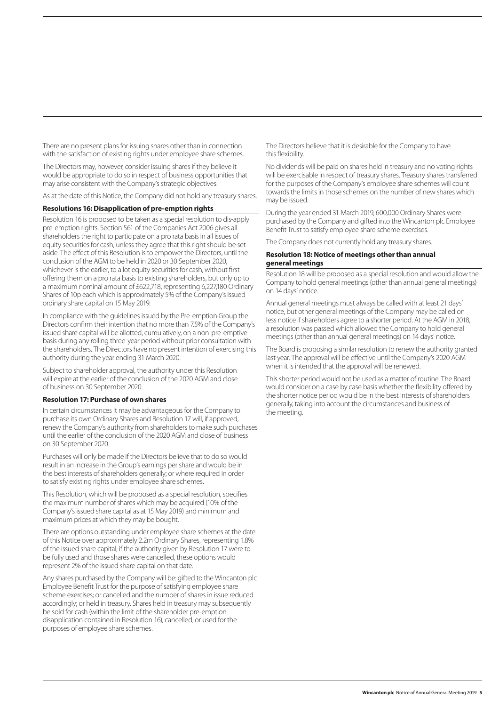There are no present plans for issuing shares other than in connection with the satisfaction of existing rights under employee share schemes.

The Directors may, however, consider issuing shares if they believe it would be appropriate to do so in respect of business opportunities that may arise consistent with the Company's strategic objectives.

As at the date of this Notice, the Company did not hold any treasury shares.

## **Resolutions 16: Disapplication of pre-emption rights**

Resolution 16 is proposed to be taken as a special resolution to dis-apply pre-emption rights. Section 561 of the Companies Act 2006 gives all shareholders the right to participate on a pro rata basis in all issues of equity securities for cash, unless they agree that this right should be set aside. The effect of this Resolution is to empower the Directors, until the conclusion of the AGM to be held in 2020 or 30 September 2020, whichever is the earlier, to allot equity securities for cash, without first offering them on a pro rata basis to existing shareholders, but only up to a maximum nominal amount of £622,718, representing 6,227,180 Ordinary Shares of 10p each which is approximately 5% of the Company's issued ordinary share capital on 15 May 2019.

In compliance with the guidelines issued by the Pre-emption Group the Directors confirm their intention that no more than 7.5% of the Company's issued share capital will be allotted, cumulatively, on a non-pre-emptive basis during any rolling three-year period without prior consultation with the shareholders. The Directors have no present intention of exercising this authority during the year ending 31 March 2020.

Subject to shareholder approval, the authority under this Resolution will expire at the earlier of the conclusion of the 2020 AGM and close of business on 30 September 2020.

#### **Resolution 17: Purchase of own shares**

In certain circumstances it may be advantageous for the Company to purchase its own Ordinary Shares and Resolution 17 will, if approved, renew the Company's authority from shareholders to make such purchases until the earlier of the conclusion of the 2020 AGM and close of business on 30 September 2020.

Purchases will only be made if the Directors believe that to do so would result in an increase in the Group's earnings per share and would be in the best interests of shareholders generally; or where required in order to satisfy existing rights under employee share schemes.

This Resolution, which will be proposed as a special resolution, specifies the maximum number of shares which may be acquired (10% of the Company's issued share capital as at 15 May 2019) and minimum and maximum prices at which they may be bought.

There are options outstanding under employee share schemes at the date of this Notice over approximately 2.2m Ordinary Shares, representing 1.8% of the issued share capital; if the authority given by Resolution 17 were to be fully used and those shares were cancelled, these options would represent 2% of the issued share capital on that date.

Any shares purchased by the Company will be: gifted to the Wincanton plc Employee Benefit Trust for the purpose of satisfying employee share scheme exercises; or cancelled and the number of shares in issue reduced accordingly; or held in treasury. Shares held in treasury may subsequently be sold for cash (within the limit of the shareholder pre-emption disapplication contained in Resolution 16), cancelled, or used for the purposes of employee share schemes.

The Directors believe that it is desirable for the Company to have this flexibility.

No dividends will be paid on shares held in treasury and no voting rights will be exercisable in respect of treasury shares. Treasury shares transferred for the purposes of the Company's employee share schemes will count towards the limits in those schemes on the number of new shares which may be issued.

During the year ended 31 March 2019, 600,000 Ordinary Shares were purchased by the Company and gifted into the Wincanton plc Employee Benefit Trust to satisfy employee share scheme exercises.

The Company does not currently hold any treasury shares.

#### **Resolution 18: Notice of meetings other than annual general meetings**

Resolution 18 will be proposed as a special resolution and would allow the Company to hold general meetings (other than annual general meetings) on 14 days' notice.

Annual general meetings must always be called with at least 21 days' notice, but other general meetings of the Company may be called on less notice if shareholders agree to a shorter period. At the AGM in 2018, a resolution was passed which allowed the Company to hold general meetings (other than annual general meetings) on 14 days' notice.

The Board is proposing a similar resolution to renew the authority granted last year. The approval will be effective until the Company's 2020 AGM when it is intended that the approval will be renewed.

This shorter period would not be used as a matter of routine. The Board would consider on a case by case basis whether the flexibility offered by the shorter notice period would be in the best interests of shareholders generally, taking into account the circumstances and business of the meeting.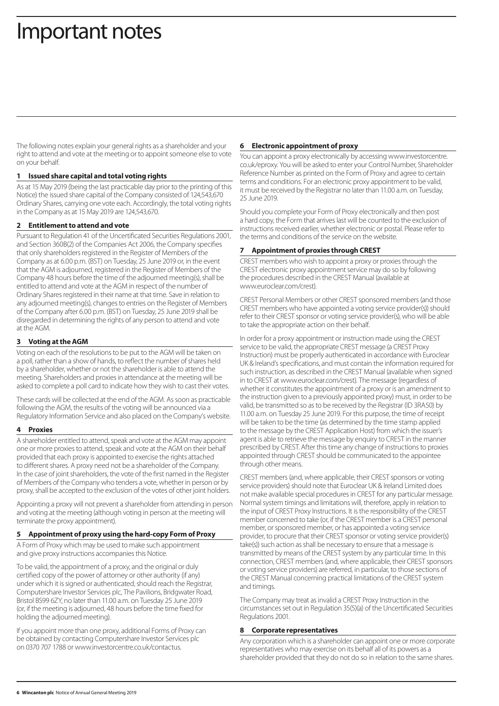## Important notes

The following notes explain your general rights as a shareholder and your right to attend and vote at the meeting or to appoint someone else to vote on your behalf.

#### **1 Issued share capital and total voting rights**

As at 15 May 2019 (being the last practicable day prior to the printing of this Notice) the issued share capital of the Company consisted of 124,543,670 Ordinary Shares, carrying one vote each. Accordingly, the total voting rights in the Company as at 15 May 2019 are 124,543,670.

#### **2 Entitlement to attend and vote**

Pursuant to Regulation 41 of the Uncertificated Securities Regulations 2001, and Section 360B(2) of the Companies Act 2006, the Company specifies that only shareholders registered in the Register of Members of the Company as at 6.00 p.m. (BST) on Tuesday, 25 June 2019 or, in the event that the AGM is adjourned, registered in the Register of Members of the Company 48 hours before the time of the adjourned meeting(s), shall be entitled to attend and vote at the AGM in respect of the number of Ordinary Shares registered in their name at that time. Save in relation to any adjourned meeting(s), changes to entries on the Register of Members of the Company after 6.00 p.m. (BST) on Tuesday, 25 June 2019 shall be disregarded in determining the rights of any person to attend and vote at the AGM.

### **3 Voting at the AGM**

Voting on each of the resolutions to be put to the AGM will be taken on a poll, rather than a show of hands, to reflect the number of shares held by a shareholder, whether or not the shareholder is able to attend the meeting. Shareholders and proxies in attendance at the meeting will be asked to complete a poll card to indicate how they wish to cast their votes.

These cards will be collected at the end of the AGM. As soon as practicable following the AGM, the results of the voting will be announced via a Regulatory Information Service and also placed on the Company's website.

#### **4 Proxies**

A shareholder entitled to attend, speak and vote at the AGM may appoint one or more proxies to attend, speak and vote at the AGM on their behalf provided that each proxy is appointed to exercise the rights attached to different shares. A proxy need not be a shareholder of the Company. In the case of joint shareholders, the vote of the first named in the Register of Members of the Company who tenders a vote, whether in person or by proxy, shall be accepted to the exclusion of the votes of other joint holders.

Appointing a proxy will not prevent a shareholder from attending in person and voting at the meeting (although voting in person at the meeting will terminate the proxy appointment).

#### **5 Appointment of proxy using the hard-copy Form of Proxy**

A Form of Proxy which may be used to make such appointment and give proxy instructions accompanies this Notice.

To be valid, the appointment of a proxy, and the original or duly certified copy of the power of attorney or other authority (if any) under which it is signed or authenticated, should reach the Registrar, Computershare Investor Services plc, The Pavilions, Bridgwater Road, Bristol BS99 6ZY, no later than 11.00 a.m. on Tuesday 25 June 2019 (or, if the meeting is adjourned, 48 hours before the time fixed for holding the adjourned meeting).

If you appoint more than one proxy, additional Forms of Proxy can be obtained by contacting Computershare Investor Services plc on 0370 707 1788 or www.investorcentre.co.uk/contactus.

#### **6 Electronic appointment of proxy**

You can appoint a proxy electronically by accessing www.investorcentre. co.uk/eproxy. You will be asked to enter your Control Number, Shareholder Reference Number as printed on the Form of Proxy and agree to certain terms and conditions. For an electronic proxy appointment to be valid, it must be received by the Registrar no later than 11.00 a.m. on Tuesday, 25 June 2019.

Should you complete your Form of Proxy electronically and then post a hard copy, the Form that arrives last will be counted to the exclusion of instructions received earlier, whether electronic or postal. Please refer to the terms and conditions of the service on the website.

#### **7 Appointment of proxies through CREST**

CREST members who wish to appoint a proxy or proxies through the CREST electronic proxy appointment service may do so by following the procedures described in the CREST Manual (available at www.euroclear.com/crest).

CREST Personal Members or other CREST sponsored members (and those CREST members who have appointed a voting service provider(s)) should refer to their CREST sponsor or voting service provider(s), who will be able to take the appropriate action on their behalf.

In order for a proxy appointment or instruction made using the CREST service to be valid, the appropriate CREST message (a CREST Proxy Instruction) must be properly authenticated in accordance with Euroclear UK & Ireland's specifications, and must contain the information required for such instruction, as described in the CREST Manual (available when signed in to CREST at www.euroclear.com/crest). The message (regardless of whether it constitutes the appointment of a proxy or is an amendment to the instruction given to a previously appointed proxy) must, in order to be valid, be transmitted so as to be received by the Registrar (ID 3RA50) by 11.00 a.m. on Tuesday 25 June 2019. For this purpose, the time of receipt will be taken to be the time (as determined by the time stamp applied to the message by the CREST Application Host) from which the issuer's agent is able to retrieve the message by enquiry to CREST in the manner prescribed by CREST. After this time any change of instructions to proxies appointed through CREST should be communicated to the appointee through other means.

CREST members (and, where applicable, their CREST sponsors or voting service providers) should note that Euroclear UK & Ireland Limited does not make available special procedures in CREST for any particular message. Normal system timings and limitations will, therefore, apply in relation to the input of CREST Proxy Instructions. It is the responsibility of the CREST member concerned to take (or, if the CREST member is a CREST personal member, or sponsored member, or has appointed a voting service provider, to procure that their CREST sponsor or voting service provider(s) take(s)) such action as shall be necessary to ensure that a message is transmitted by means of the CREST system by any particular time. In this connection, CREST members (and, where applicable, their CREST sponsors or voting service providers) are referred, in particular, to those sections of the CREST Manual concerning practical limitations of the CREST system and timings.

The Company may treat as invalid a CREST Proxy Instruction in the circumstances set out in Regulation 35(5)(a) of the Uncertificated Securities Regulations 2001.

#### **8 Corporate representatives**

Any corporation which is a shareholder can appoint one or more corporate representatives who may exercise on its behalf all of its powers as a shareholder provided that they do not do so in relation to the same shares.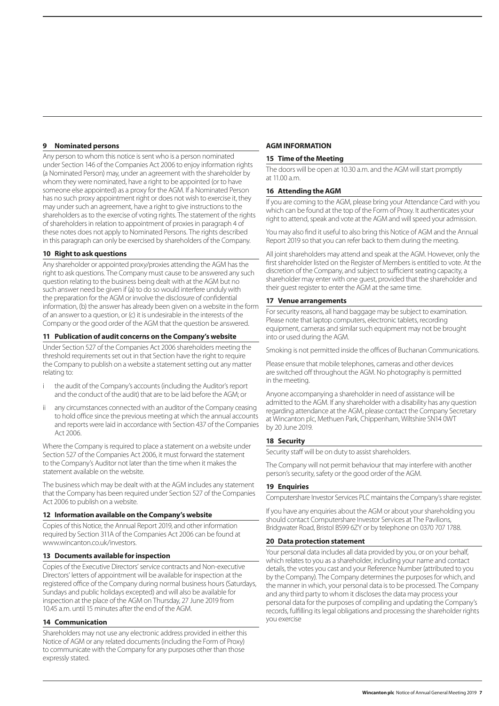### **9 Nominated persons**

Any person to whom this notice is sent who is a person nominated under Section 146 of the Companies Act 2006 to enjoy information rights (a Nominated Person) may, under an agreement with the shareholder by whom they were nominated, have a right to be appointed (or to have someone else appointed) as a proxy for the AGM. If a Nominated Person has no such proxy appointment right or does not wish to exercise it, they may under such an agreement, have a right to give instructions to the shareholders as to the exercise of voting rights. The statement of the rights of shareholders in relation to appointment of proxies in paragraph 4 of these notes does not apply to Nominated Persons. The rights described in this paragraph can only be exercised by shareholders of the Company.

#### **10 Right to ask questions**

Any shareholder or appointed proxy/proxies attending the AGM has the right to ask questions. The Company must cause to be answered any such question relating to the business being dealt with at the AGM but no such answer need be given if (a) to do so would interfere unduly with the preparation for the AGM or involve the disclosure of confidential information, (b) the answer has already been given on a website in the form of an answer to a question, or (c) it is undesirable in the interests of the Company or the good order of the AGM that the question be answered.

## **11 Publication of audit concerns on the Company's website**

Under Section 527 of the Companies Act 2006 shareholders meeting the threshold requirements set out in that Section have the right to require the Company to publish on a website a statement setting out any matter relating to:

- the audit of the Company's accounts (including the Auditor's report and the conduct of the audit) that are to be laid before the AGM; or
- ii any circumstances connected with an auditor of the Company ceasing to hold office since the previous meeting at which the annual accounts and reports were laid in accordance with Section 437 of the Companies Act 2006.

Where the Company is required to place a statement on a website under Section 527 of the Companies Act 2006, it must forward the statement to the Company's Auditor not later than the time when it makes the statement available on the website.

The business which may be dealt with at the AGM includes any statement that the Company has been required under Section 527 of the Companies Act 2006 to publish on a website.

#### **12 Information available on the Company's website**

Copies of this Notice, the Annual Report 2019, and other information required by Section 311A of the Companies Act 2006 can be found at www.wincanton.co.uk/investors.

#### **13 Documents available for inspection**

Copies of the Executive Directors' service contracts and Non-executive Directors' letters of appointment will be available for inspection at the registered office of the Company during normal business hours (Saturdays, Sundays and public holidays excepted) and will also be available for inspection at the place of the AGM on Thursday, 27 June 2019 from 10.45 a.m. until 15 minutes after the end of the AGM.

#### **14 Communication**

Shareholders may not use any electronic address provided in either this Notice of AGM or any related documents (including the Form of Proxy) to communicate with the Company for any purposes other than those expressly stated.

## **AGM INFORMATION**

## **15 Time of the Meeting**

The doors will be open at 10.30 a.m. and the AGM will start promptly at 11.00 a.m.

## **16 Attending the AGM**

If you are coming to the AGM, please bring your Attendance Card with you which can be found at the top of the Form of Proxy. It authenticates your right to attend, speak and vote at the AGM and will speed your admission.

You may also find it useful to also bring this Notice of AGM and the Annual Report 2019 so that you can refer back to them during the meeting.

All joint shareholders may attend and speak at the AGM. However, only the first shareholder listed on the Register of Members is entitled to vote. At the discretion of the Company, and subject to sufficient seating capacity, a shareholder may enter with one guest, provided that the shareholder and their guest register to enter the AGM at the same time.

#### **17 Venue arrangements**

For security reasons, all hand baggage may be subject to examination. Please note that laptop computers, electronic tablets, recording equipment, cameras and similar such equipment may not be brought into or used during the AGM.

Smoking is not permitted inside the offices of Buchanan Communications.

Please ensure that mobile telephones, cameras and other devices are switched off throughout the AGM. No photography is permitted in the meeting.

Anyone accompanying a shareholder in need of assistance will be admitted to the AGM. If any shareholder with a disability has any question regarding attendance at the AGM, please contact the Company Secretary at Wincanton plc, Methuen Park, Chippenham, Wiltshire SN14 0WT by 20 June 2019.

## **18 Security**

Security staff will be on duty to assist shareholders.

The Company will not permit behaviour that may interfere with another person's security, safety or the good order of the AGM.

#### **19 Enquiries**

Computershare Investor Services PLC maintains the Company's share register.

If you have any enquiries about the AGM or about your shareholding you should contact Computershare Investor Services at The Pavilions, Bridgwater Road, Bristol BS99 6ZY or by telephone on 0370 707 1788.

#### **20 Data protection statement**

Your personal data includes all data provided by you, or on your behalf, which relates to you as a shareholder, including your name and contact details, the votes you cast and your Reference Number (attributed to you by the Company). The Company determines the purposes for which, and the manner in which, your personal data is to be processed. The Company and any third party to whom it discloses the data may process your personal data for the purposes of compiling and updating the Company's records, fulfilling its legal obligations and processing the shareholder rights you exercise